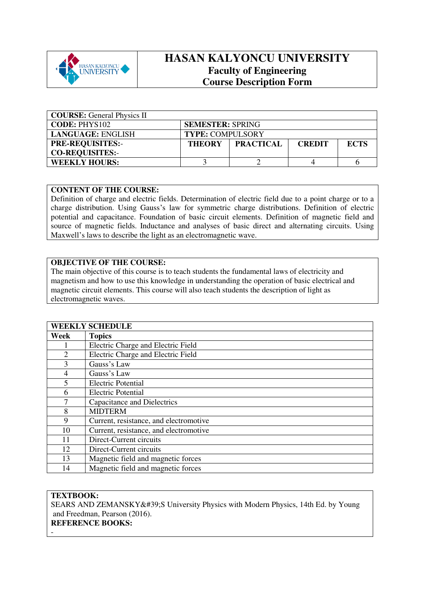

## **HASAN KALYONCU UNIVERSITY Faculty of Engineering Course Description Form**

| <b>COURSE:</b> General Physics II |                         |                  |               |             |  |
|-----------------------------------|-------------------------|------------------|---------------|-------------|--|
| <b>CODE: PHYS102</b>              | <b>SEMESTER: SPRING</b> |                  |               |             |  |
| LANGUAGE: ENGLISH                 | <b>TYPE: COMPULSORY</b> |                  |               |             |  |
| <b>PRE-REQUISITES:-</b>           | <b>THEORY</b>           | <b>PRACTICAL</b> | <b>CREDIT</b> | <b>ECTS</b> |  |
| <b>CO-REQUISITES:-</b>            |                         |                  |               |             |  |
| <b>WEEKLY HOURS:</b>              |                         |                  |               |             |  |

## **CONTENT OF THE COURSE:**

Definition of charge and electric fields. Determination of electric field due to a point charge or to a charge distribution. Using Gauss's law for symmetric charge distributions. Definition of electric potential and capacitance. Foundation of basic circuit elements. Definition of magnetic field and source of magnetic fields. Inductance and analyses of basic direct and alternating circuits. Using Maxwell's laws to describe the light as an electromagnetic wave.

## **OBJECTIVE OF THE COURSE:**

The main objective of this course is to teach students the fundamental laws of electricity and magnetism and how to use this knowledge in understanding the operation of basic electrical and magnetic circuit elements. This course will also teach students the description of light as electromagnetic waves.

|                | <b>WEEKLY SCHEDULE</b>                 |
|----------------|----------------------------------------|
| Week           | <b>Topics</b>                          |
|                | Electric Charge and Electric Field     |
| $\overline{2}$ | Electric Charge and Electric Field     |
| 3              | Gauss's Law                            |
| 4              | Gauss's Law                            |
| $\overline{5}$ | <b>Electric Potential</b>              |
| 6              | <b>Electric Potential</b>              |
| 7              | Capacitance and Dielectrics            |
| 8              | <b>MIDTERM</b>                         |
| 9              | Current, resistance, and electromotive |
| 10             | Current, resistance, and electromotive |
| 11             | Direct-Current circuits                |
| 12             | Direct-Current circuits                |
| 13             | Magnetic field and magnetic forces     |
| 14             | Magnetic field and magnetic forces     |

## **TEXTBOOK:**

-

SEARS AND ZEMANSKY'S University Physics with Modern Physics, 14th Ed. by Young and Freedman, Pearson (2016). **REFERENCE BOOKS:**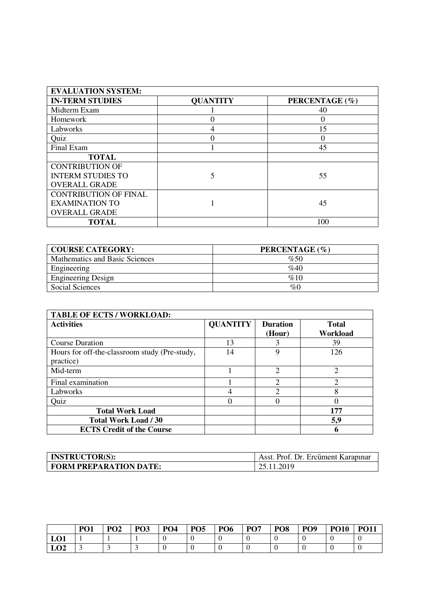| <b>EVALUATION SYSTEM:</b>    |                 |                |
|------------------------------|-----------------|----------------|
| <b>IN-TERM STUDIES</b>       | <b>QUANTITY</b> | PERCENTAGE (%) |
| Midterm Exam                 |                 | 40             |
| Homework                     |                 | $\theta$       |
| Labworks                     |                 | 15             |
| Quiz                         | 0               |                |
| Final Exam                   |                 | 45             |
| <b>TOTAL</b>                 |                 |                |
| <b>CONTRIBUTION OF</b>       |                 |                |
| <b>INTERM STUDIES TO</b>     | 5               | 55             |
| <b>OVERALL GRADE</b>         |                 |                |
| <b>CONTRIBUTION OF FINAL</b> |                 |                |
| <b>EXAMINATION TO</b>        |                 | 45             |
| <b>OVERALL GRADE</b>         |                 |                |
| <b>TOTAL</b>                 |                 | 100            |

| <b>COURSE CATEGORY:</b>        | PERCENTAGE (%) |
|--------------------------------|----------------|
| Mathematics and Basic Sciences | %50            |
| Engineering                    | %40            |
| <b>Engineering Design</b>      | %10            |
| Social Sciences                | %0             |

| <b>TABLE OF ECTS / WORKLOAD:</b>                           |                 |                           |                          |
|------------------------------------------------------------|-----------------|---------------------------|--------------------------|
| <b>Activities</b>                                          | <b>QUANTITY</b> | <b>Duration</b><br>(Hour) | <b>Total</b><br>Workload |
| <b>Course Duration</b>                                     | 13              |                           | 39                       |
| Hours for off-the-classroom study (Pre-study,<br>practice) | 14              | 9                         | 126                      |
| Mid-term                                                   |                 | $\mathfrak{D}$            | $\mathfrak{D}$           |
| Final examination                                          |                 | ↑                         | ↑                        |
| Labworks                                                   |                 | ⌒                         | 8                        |
| Quiz                                                       |                 |                           |                          |
| <b>Total Work Load</b>                                     |                 |                           | 177                      |
| <b>Total Work Load / 30</b>                                |                 |                           | 5,9                      |
| <b>ECTS Credit of the Course</b>                           |                 |                           | 6                        |

| <b>INSTRUCTOR(S):</b>  | Asst. Prof. Dr. Ercüment Karapınar |
|------------------------|------------------------------------|
| FORM PREPARATION DATE: | 25.11.2019                         |

|     | PO <sub>1</sub> | PO <sub>2</sub> | PO <sub>3</sub> | PO <sub>4</sub> | PO <sub>5</sub> | PO <sub>6</sub> | <b>PO7</b> | PO <sub>8</sub> | PO <sub>9</sub> | <b>PO10</b> | <b>PO11</b> |
|-----|-----------------|-----------------|-----------------|-----------------|-----------------|-----------------|------------|-----------------|-----------------|-------------|-------------|
| LO1 |                 |                 |                 |                 |                 |                 |            |                 |                 |             |             |
| LO2 |                 |                 |                 |                 |                 |                 |            |                 |                 |             |             |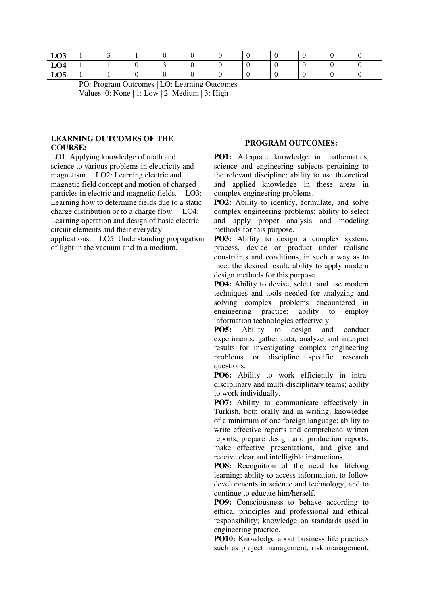| LO3                                            |                                              |  |  |  |  |  |  |  |  |
|------------------------------------------------|----------------------------------------------|--|--|--|--|--|--|--|--|
| LO4                                            |                                              |  |  |  |  |  |  |  |  |
| LO5                                            |                                              |  |  |  |  |  |  |  |  |
|                                                | PO: Program Outcomes   LO: Learning Outcomes |  |  |  |  |  |  |  |  |
| Values: 0: None   1: Low   2: Medium   3: High |                                              |  |  |  |  |  |  |  |  |

| <b>LEARNING OUTCOMES OF THE</b><br><b>COURSE:</b>                                                                                                                                                                                                                                                                                                                                                                                                                                                                              | PROGRAM OUTCOMES:                                                                                                                                                                                                                                                                                                                                                                                                                                                                                                                                                                                                                                                                                                                                                                                                                                                                                                                                                                                                                                                                                                                                                                                                                                                                                                                                                                                                                                                                                                                                                                                                                                                                                                                                                                                                                                                                                                                                                                                                                                                                                                          |
|--------------------------------------------------------------------------------------------------------------------------------------------------------------------------------------------------------------------------------------------------------------------------------------------------------------------------------------------------------------------------------------------------------------------------------------------------------------------------------------------------------------------------------|----------------------------------------------------------------------------------------------------------------------------------------------------------------------------------------------------------------------------------------------------------------------------------------------------------------------------------------------------------------------------------------------------------------------------------------------------------------------------------------------------------------------------------------------------------------------------------------------------------------------------------------------------------------------------------------------------------------------------------------------------------------------------------------------------------------------------------------------------------------------------------------------------------------------------------------------------------------------------------------------------------------------------------------------------------------------------------------------------------------------------------------------------------------------------------------------------------------------------------------------------------------------------------------------------------------------------------------------------------------------------------------------------------------------------------------------------------------------------------------------------------------------------------------------------------------------------------------------------------------------------------------------------------------------------------------------------------------------------------------------------------------------------------------------------------------------------------------------------------------------------------------------------------------------------------------------------------------------------------------------------------------------------------------------------------------------------------------------------------------------------|
| LO1: Applying knowledge of math and<br>science to various problems in electricity and<br>magnetism. LO2: Learning electric and<br>magnetic field concept and motion of charged<br>particles in electric and magnetic fields.<br>LO3:<br>Learning how to determine fields due to a static<br>charge distribution or to a charge flow. LO4:<br>Learning operation and design of basic electric<br>circuit elements and their everyday<br>applications. LO5: Understanding propagation<br>of light in the vacuum and in a medium. | PO1: Adequate knowledge in mathematics,<br>science and engineering subjects pertaining to<br>the relevant discipline; ability to use theoretical<br>applied knowledge in these areas in<br>and<br>complex engineering problems.<br><b>PO2:</b> Ability to identify, formulate, and solve<br>complex engineering problems; ability to select<br>apply proper analysis and modeling<br>and<br>methods for this purpose.<br>PO3: Ability to design a complex system,<br>process, device or product under realistic<br>constraints and conditions, in such a way as to<br>meet the desired result; ability to apply modern<br>design methods for this purpose.<br>PO4: Ability to devise, select, and use modern<br>techniques and tools needed for analyzing and<br>solving complex problems encountered in<br>engineering practice;<br>ability<br>to<br>employ<br>information technologies effectively.<br><b>PO5:</b><br>Ability<br>${\rm to}$<br>design<br>and<br>conduct<br>experiments, gather data, analyze and interpret<br>results for investigating complex engineering<br>problems<br>discipline<br>specific<br>research<br><b>or</b><br>questions.<br>PO6: Ability to work efficiently in intra-<br>disciplinary and multi-disciplinary teams; ability<br>to work individually.<br>PO7: Ability to communicate effectively in<br>Turkish, both orally and in writing; knowledge<br>of a minimum of one foreign language; ability to<br>write effective reports and comprehend written<br>reports, prepare design and production reports,<br>make effective presentations, and give and<br>receive clear and intelligible instructions.<br>PO8: Recognition of the need for lifelong<br>learning; ability to access information, to follow<br>developments in science and technology, and to<br>continue to educate him/herself.<br><b>PO9:</b> Consciousness to behave according to<br>ethical principles and professional and ethical<br>responsibility; knowledge on standards used in<br>engineering practice.<br>PO10: Knowledge about business life practices<br>such as project management, risk management, |